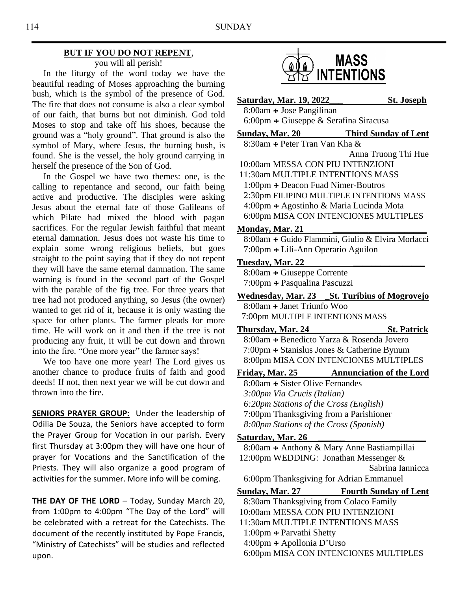### **BUT IF YOU DO NOT REPENT**,

you will all perish!

 In the liturgy of the word today we have the beautiful reading of Moses approaching the burning bush, which is the symbol of the presence of God. The fire that does not consume is also a clear symbol of our faith, that burns but not diminish. God told Moses to stop and take off his shoes, because the ground was a "holy ground". That ground is also the symbol of Mary, where Jesus, the burning bush, is found. She is the vessel, the holy ground carrying in herself the presence of the Son of God.

 In the Gospel we have two themes: one, is the calling to repentance and second, our faith being active and productive. The disciples were asking Jesus about the eternal fate of those Galileans of which Pilate had mixed the blood with pagan sacrifices. For the regular Jewish faithful that meant eternal damnation. Jesus does not waste his time to explain some wrong religious beliefs, but goes straight to the point saying that if they do not repent they will have the same eternal damnation. The same warning is found in the second part of the Gospel with the parable of the fig tree. For three years that tree had not produced anything, so Jesus (the owner) wanted to get rid of it, because it is only wasting the space for other plants. The farmer pleads for more time. He will work on it and then if the tree is not producing any fruit, it will be cut down and thrown into the fire. "One more year" the farmer says!

 We too have one more year! The Lord gives us another chance to produce fruits of faith and good deeds! If not, then next year we will be cut down and thrown into the fire.

**SENIORS PRAYER GROUP:** Under the leadership of Odilia De Souza, the Seniors have accepted to form the Prayer Group for Vocation in our parish. Every first Thursday at 3:00pm they will have one hour of prayer for Vocations and the Sanctification of the Priests. They will also organize a good program of activities for the summer. More info will be coming.

**THE DAY OF THE LORD** – Today, Sunday March 20, from 1:00pm to 4:00pm "The Day of the Lord" will be celebrated with a retreat for the Catechists. The document of the recently instituted by Pope Francis, "Ministry of Catechists" will be studies and reflected upon.



| <u>Saturday, Mar. 19, 2022</u>                                                      | <b>St. Joseph</b>            |
|-------------------------------------------------------------------------------------|------------------------------|
| 8:00am + Jose Pangilinan                                                            |                              |
| $6:00 \text{pm} + \text{Giuseppe} \& \text{Serafina Siracusa}$                      |                              |
| <b>Sunday, Mar. 20</b> Third Sunday of Lent                                         |                              |
| 8:30am + Peter Tran Van Kha &                                                       |                              |
|                                                                                     | Anna Truong Thi Hue          |
| 10:00am MESSA CON PIU INTENZIONI                                                    |                              |
| 11:30am MULTIPLE INTENTIONS MASS                                                    |                              |
| 1:00pm + Deacon Fuad Nimer-Boutros                                                  |                              |
| 2:30pm FILIPINO MULTIPLE INTENTIONS MASS<br>4:00pm + Agostinho & Maria Lucinda Mota |                              |
| 6:00pm MISA CON INTENCIONES MULTIPLES                                               |                              |
|                                                                                     |                              |
| Monday, Mar. 21<br>8:00am + Guido Flammini, Giulio & Elvira Morlacci                |                              |
|                                                                                     |                              |
| 7:00pm + Lili-Ann Operario Aguilon                                                  |                              |
| Tuesday, Mar. 22                                                                    |                              |
| 8:00am + Giuseppe Corrente<br>7:00pm + Pasqualina Pascuzzi                          |                              |
|                                                                                     |                              |
| Wednesday, Mar. 23 _St. Turibius of Mogrovejo<br>8:00am + Janet Triunfo Woo         |                              |
|                                                                                     |                              |
| 7:00pm MULTIPLE INTENTIONS MASS                                                     |                              |
| Thursday, Mar. 24<br>8:00am + Benedicto Yarza & Rosenda Jovero                      | <b>St. Patrick</b>           |
|                                                                                     |                              |
| 7:00pm + Stanislus Jones & Catherine Bynum<br>8:00pm MISA CON INTENCIONES MULTIPLES |                              |
|                                                                                     |                              |
| Friday, Mar. 25 Annunciation of the Lord<br>8:00am + Sister Olive Fernandes         |                              |
| 3:00pm Via Crucis (Italian)                                                         |                              |
| 6:20pm Stations of the Cross (English)                                              |                              |
| 7:00pm Thanksgiving from a Parishioner                                              |                              |
| 8:00pm Stations of the Cross (Spanish)                                              |                              |
| Saturday, Mar. 26                                                                   |                              |
| 8:00am + Anthony & Mary Anne Bastiampillai                                          |                              |
| 12:00pm WEDDING: Jonathan Messenger &                                               |                              |
|                                                                                     | Sabrina Iannicca             |
| 6:00pm Thanksgiving for Adrian Emmanuel                                             |                              |
| <u>Sundav, Mar. 27</u>                                                              | <b>Fourth Sunday of Lent</b> |
| 8:30am Thanksgiving from Colaco Family                                              |                              |
| 10:00am MESSA CON PIU INTENZIONI                                                    |                              |
| 11:30am MULTIPLE INTENTIONS MASS                                                    |                              |
| $1:00 \text{pm} +$ Parvathi Shetty                                                  |                              |
| $4:00 \text{pm} + \text{Apollonia D'Urso}$                                          |                              |

6:00pm MISA CON INTENCIONES MULTIPLES